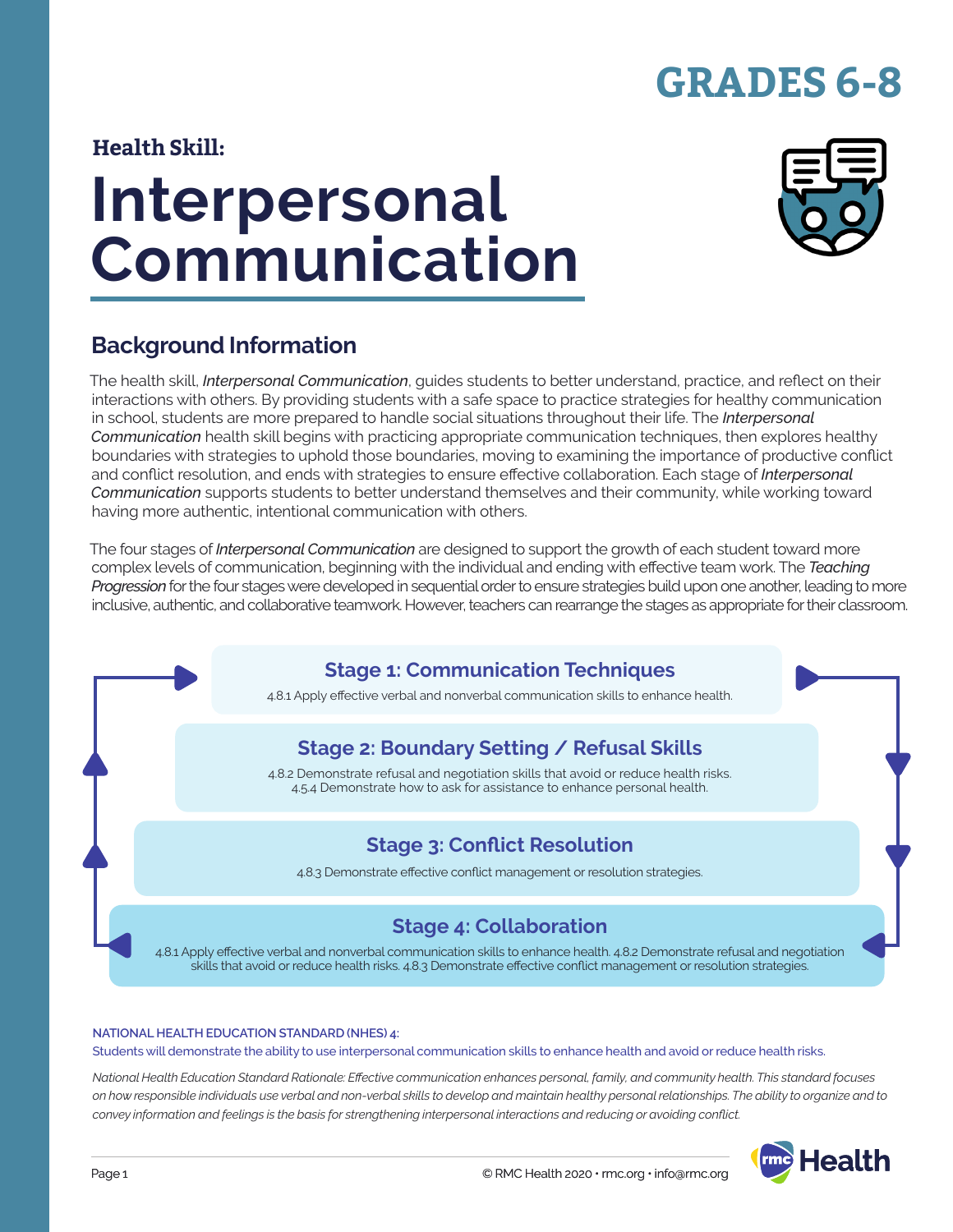# **GRADES 6-8**

### **Health Skill:**

# **Interpersonal Communication**



### **Background Information**

The health skill, *Interpersonal Communication*, guides students to better understand, practice, and reflect on their interactions with others. By providing students with a safe space to practice strategies for healthy communication in school, students are more prepared to handle social situations throughout their life. The *Interpersonal Communication* health skill begins with practicing appropriate communication techniques, then explores healthy boundaries with strategies to uphold those boundaries, moving to examining the importance of productive conflict and conflict resolution, and ends with strategies to ensure effective collaboration. Each stage of *Interpersonal Communication* supports students to better understand themselves and their community, while working toward having more authentic, intentional communication with others.

The four stages of *Interpersonal Communication* are designed to support the growth of each student toward more complex levels of communication, beginning with the individual and ending with effective team work. The *Teaching Progression* for the four stages were developed in sequential order to ensure strategies build upon one another, leading to more inclusive, authentic, and collaborative teamwork. However, teachers can rearrange the stages as appropriate for their classroom.

### **Stage 1: Communication Techniques**

4.8.1 Apply effective verbal and nonverbal communication skills to enhance health.

### **Stage 2: Boundary Setting / Refusal Skills**

4.8.2 Demonstrate refusal and negotiation skills that avoid or reduce health risks. 4.5.4 Demonstrate how to ask for assistance to enhance personal health.

### **Stage 3: Conflict Resolution**

4.8.3 Demonstrate effective conflict management or resolution strategies.

### **Stage 4: Collaboration**

4.8.1 Apply effective verbal and nonverbal communication skills to enhance health. 4.8.2 Demonstrate refusal and negotiation skills that avoid or reduce health risks. 4.8.3 Demonstrate effective conflict management or resolution strategies.

#### **NATIONAL HEALTH EDUCATION STANDARD (NHES) 4:**

Students will demonstrate the ability to use interpersonal communication skills to enhance health and avoid or reduce health risks.

*National Health Education Standard Rationale: Effective communication enhances personal, family, and community health. This standard focuses on how responsible individuals use verbal and non-verbal skills to develop and maintain healthy personal relationships. The ability to organize and to convey information and feelings is the basis for strengthening interpersonal interactions and reducing or avoiding conflict.*

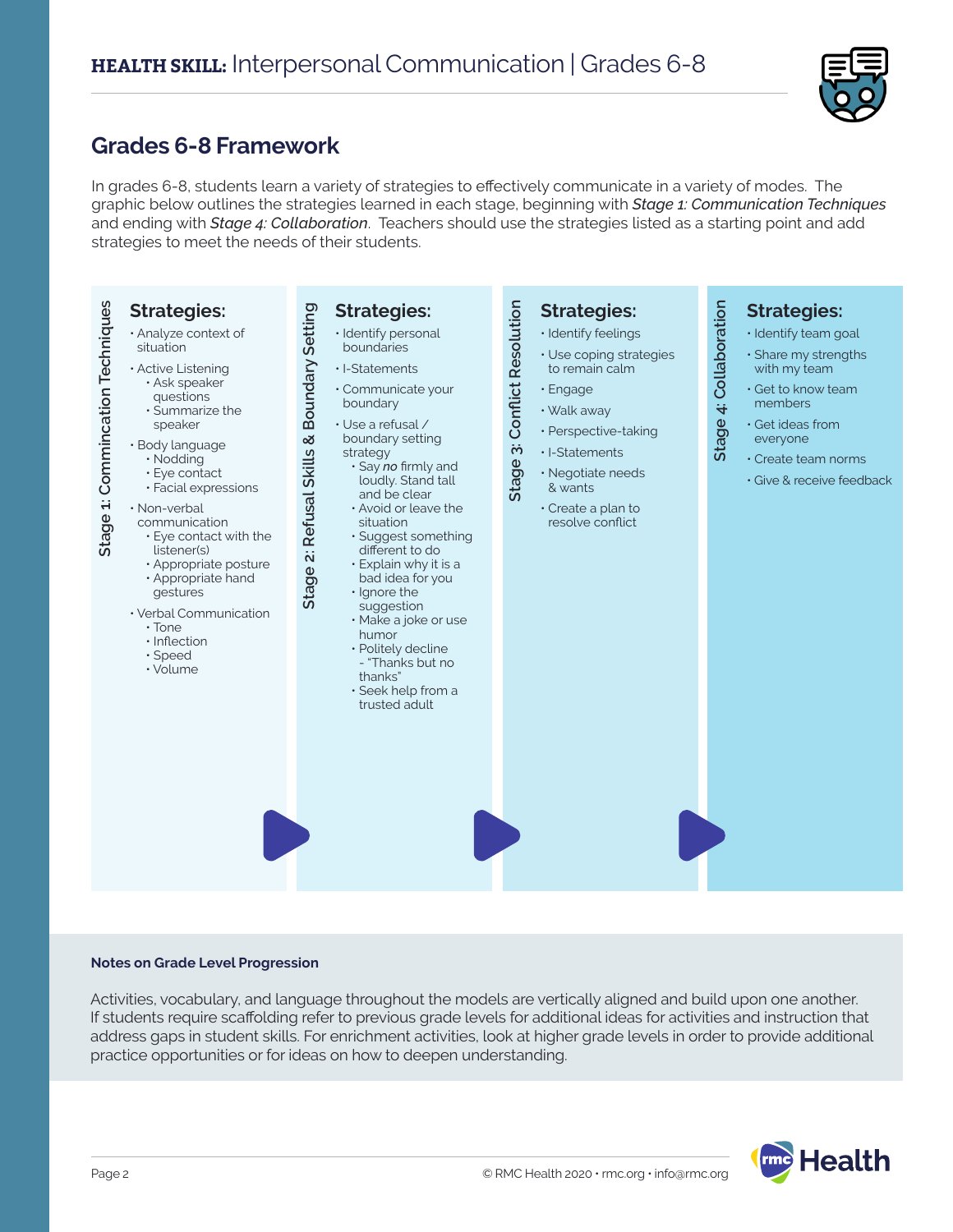

### **Grades 6-8 Framework**

In grades 6-8, students learn a variety of strategies to effectively communicate in a variety of modes. The graphic below outlines the strategies learned in each stage, beginning with *Stage 1: Communication Techniques* and ending with *Stage 4: Collaboration*. Teachers should use the strategies listed as a starting point and add strategies to meet the needs of their students.



#### **Notes on Grade Level Progression**

Activities, vocabulary, and language throughout the models are vertically aligned and build upon one another. If students require scaffolding refer to previous grade levels for additional ideas for activities and instruction that address gaps in student skills. For enrichment activities, look at higher grade levels in order to provide additional practice opportunities or for ideas on how to deepen understanding.

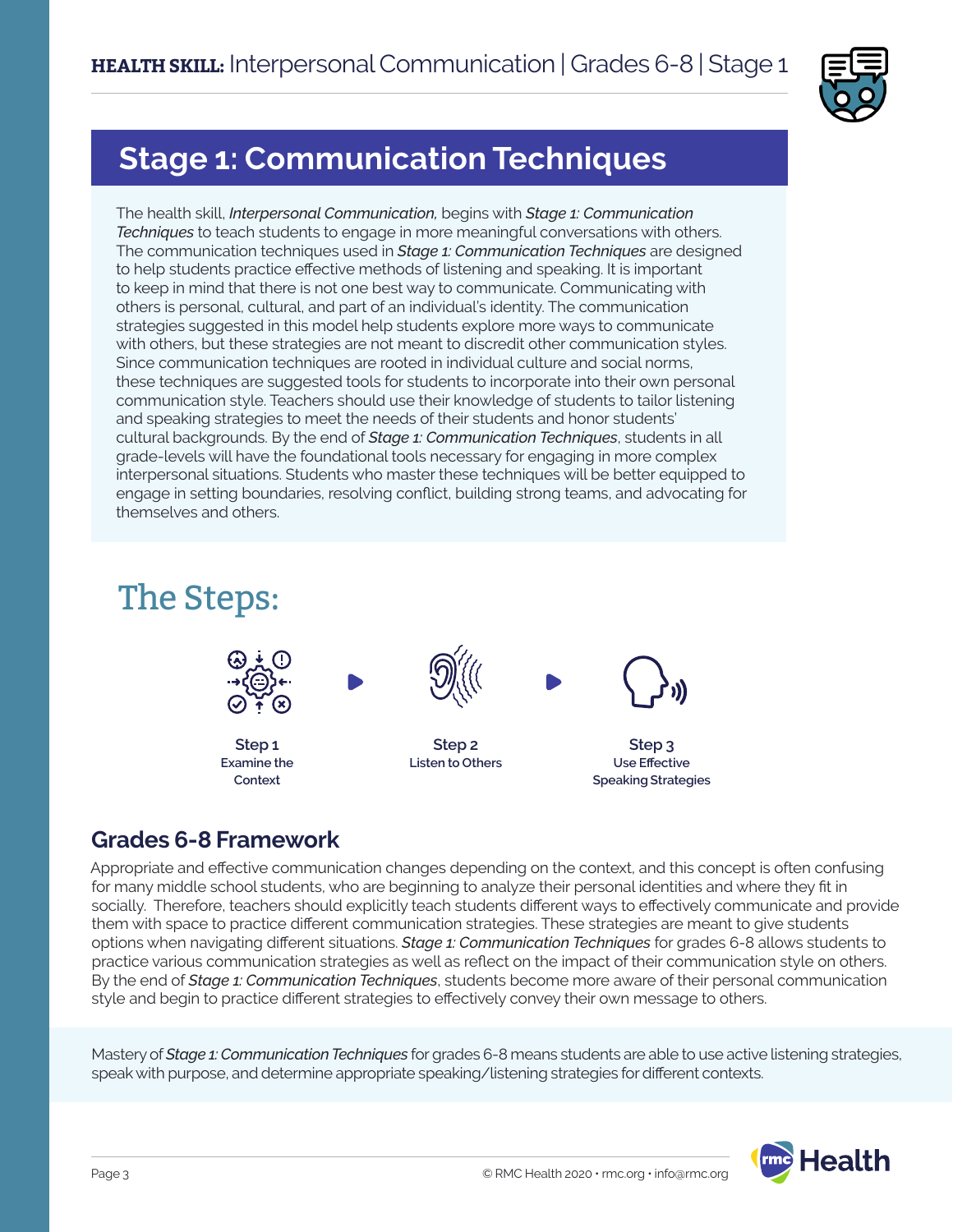

## **Stage 1: Communication Techniques**

The health skill, *Interpersonal Communication,* begins with *Stage 1: Communication Techniques* to teach students to engage in more meaningful conversations with others. The communication techniques used in *Stage 1: Communication Techniques* are designed to help students practice effective methods of listening and speaking. It is important to keep in mind that there is not one best way to communicate. Communicating with others is personal, cultural, and part of an individual's identity. The communication strategies suggested in this model help students explore more ways to communicate with others, but these strategies are not meant to discredit other communication styles. Since communication techniques are rooted in individual culture and social norms, these techniques are suggested tools for students to incorporate into their own personal communication style. Teachers should use their knowledge of students to tailor listening and speaking strategies to meet the needs of their students and honor students' cultural backgrounds. By the end of *Stage 1: Communication Techniques*, students in all grade-levels will have the foundational tools necessary for engaging in more complex interpersonal situations. Students who master these techniques will be better equipped to engage in setting boundaries, resolving conflict, building strong teams, and advocating for themselves and others.

# The Steps:



### **Grades 6-8 Framework**

Appropriate and effective communication changes depending on the context, and this concept is often confusing for many middle school students, who are beginning to analyze their personal identities and where they fit in socially. Therefore, teachers should explicitly teach students different ways to effectively communicate and provide them with space to practice different communication strategies. These strategies are meant to give students options when navigating different situations. *Stage 1: Communication Techniques* for grades 6-8 allows students to practice various communication strategies as well as reflect on the impact of their communication style on others. By the end of *Stage 1: Communication Techniques*, students become more aware of their personal communication style and begin to practice different strategies to effectively convey their own message to others.

Mastery of *Stage 1: Communication Techniques* for grades 6-8 means students are able to use active listening strategies, speak with purpose, and determine appropriate speaking/listening strategies for different contexts.

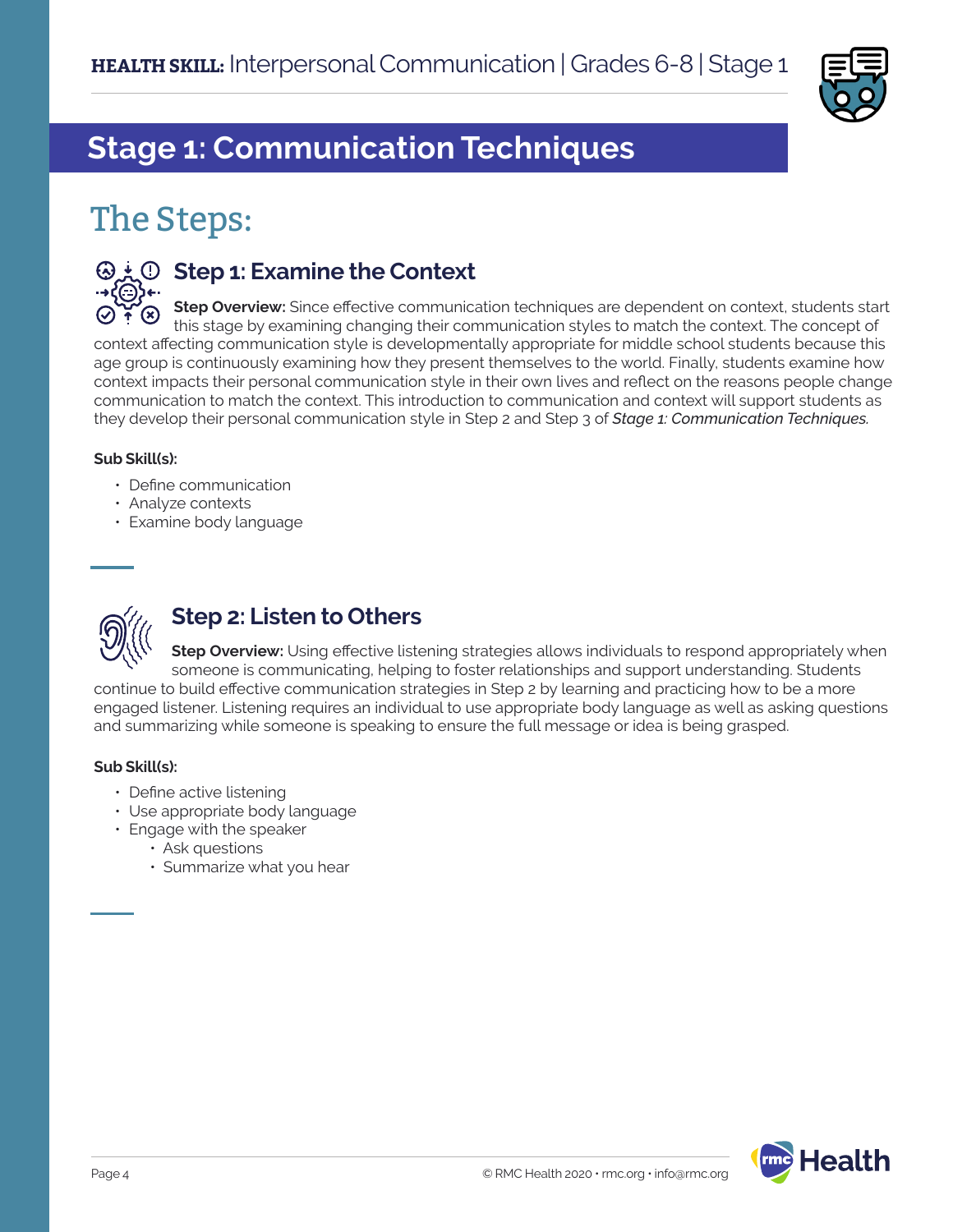

# **Stage 1: Communication Techniques**

# The Steps:



### **Step 1: Examine the Context**

**Step Overview:** Since effective communication techniques are dependent on context, students start this stage by examining changing their communication styles to match the context. The concept of context affecting communication style is developmentally appropriate for middle school students because this age group is continuously examining how they present themselves to the world. Finally, students examine how context impacts their personal communication style in their own lives and reflect on the reasons people change communication to match the context. This introduction to communication and context will support students as they develop their personal communication style in Step 2 and Step 3 of *Stage 1: Communication Techniques.*

#### **Sub Skill(s):**

- Define communication
- Analyze contexts
- Examine body language



### **Step 2: Listen to Others**

**Step Overview:** Using effective listening strategies allows individuals to respond appropriately when someone is communicating, helping to foster relationships and support understanding. Students continue to build effective communication strategies in Step 2 by learning and practicing how to be a more engaged listener. Listening requires an individual to use appropriate body language as well as asking questions and summarizing while someone is speaking to ensure the full message or idea is being grasped.

#### **Sub Skill(s):**

- Define active listening
- Use appropriate body language
- Engage with the speaker
	- Ask questions
	- Summarize what you hear